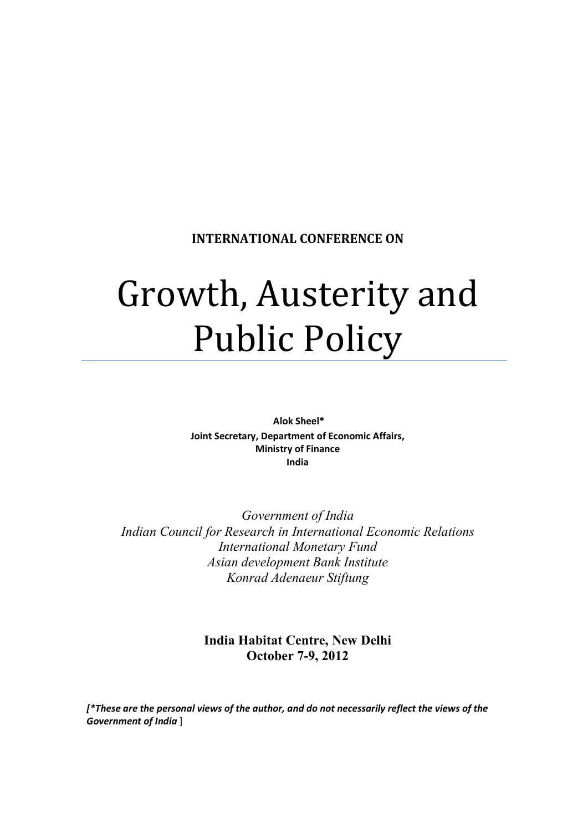### **INTERNATIONAL CONFERENCE ON**

# Growth, Austerity and Public Policy

 **Alok Sheel\* Joint Secretary, Department of Economic Affairs, Ministry of Finance India** 

*Government of India Indian Council for Research in International Economic Relations International Monetary Fund Asian development Bank Institute Konrad Adenaeur Stiftung* 

> **India Habitat Centre, New Delhi October 7-9, 2012**

*[\*These are the personal views of the author, and do not necessarily reflect the views of the Government of India* ]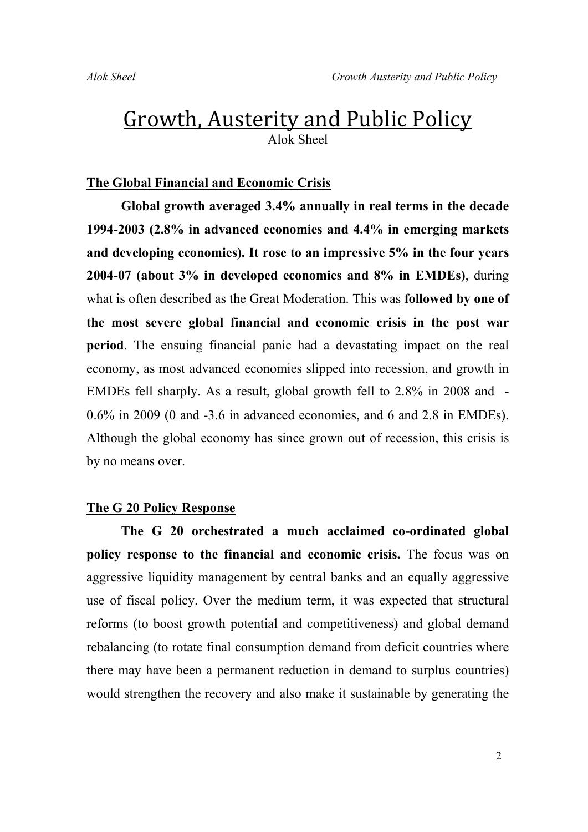## Growth, Austerity and Public Policy Alok Sheel

#### **The Global Financial and Economic Crisis**

**Global growth averaged 3.4% annually in real terms in the decade 1994-2003 (2.8% in advanced economies and 4.4% in emerging markets and developing economies). It rose to an impressive 5% in the four years 2004-07 (about 3% in developed economies and 8% in EMDEs)**, during what is often described as the Great Moderation. This was **followed by one of the most severe global financial and economic crisis in the post war period**. The ensuing financial panic had a devastating impact on the real economy, as most advanced economies slipped into recession, and growth in EMDEs fell sharply. As a result, global growth fell to 2.8% in 2008 and - 0.6% in 2009 (0 and -3.6 in advanced economies, and 6 and 2.8 in EMDEs). Although the global economy has since grown out of recession, this crisis is by no means over.

#### **The G 20 Policy Response**

**The G 20 orchestrated a much acclaimed co-ordinated global policy response to the financial and economic crisis.** The focus was on aggressive liquidity management by central banks and an equally aggressive use of fiscal policy. Over the medium term, it was expected that structural reforms (to boost growth potential and competitiveness) and global demand rebalancing (to rotate final consumption demand from deficit countries where there may have been a permanent reduction in demand to surplus countries) would strengthen the recovery and also make it sustainable by generating the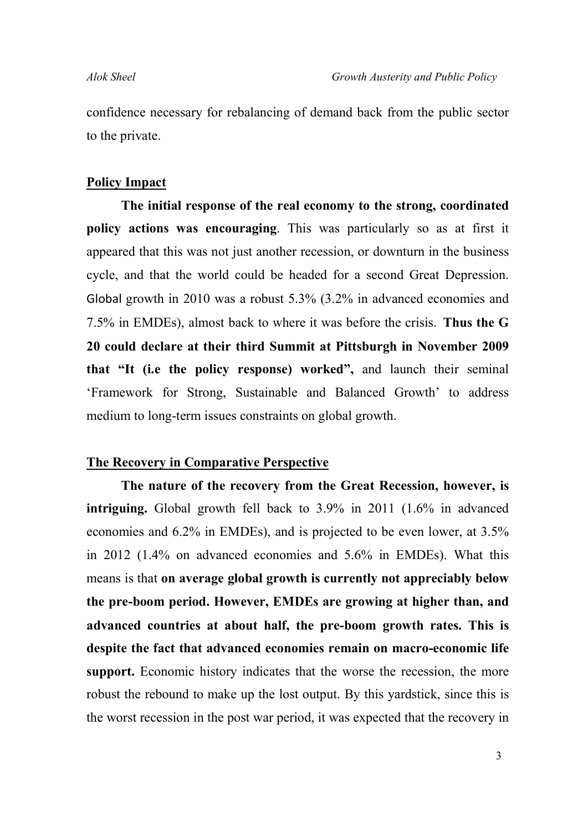confidence necessary for rebalancing of demand back from the public sector to the private.

#### **Policy Impact**

**The initial response of the real economy to the strong, coordinated policy actions was encouraging**. This was particularly so as at first it appeared that this was not just another recession, or downturn in the business cycle, and that the world could be headed for a second Great Depression. Global growth in 2010 was a robust 5.3% (3.2% in advanced economies and 7.5% in EMDEs), almost back to where it was before the crisis. **Thus the G 20 could declare at their third Summit at Pittsburgh in November 2009 that "It (i.e the policy response) worked",** and launch their seminal 'Framework for Strong, Sustainable and Balanced Growth' to address medium to long-term issues constraints on global growth.

#### **The Recovery in Comparative Perspective**

**The nature of the recovery from the Great Recession, however, is intriguing.** Global growth fell back to 3.9% in 2011 (1.6% in advanced economies and 6.2% in EMDEs), and is projected to be even lower, at 3.5% in 2012 (1.4% on advanced economies and 5.6% in EMDEs). What this means is that **on average global growth is currently not appreciably below the pre-boom period. However, EMDEs are growing at higher than, and advanced countries at about half, the pre-boom growth rates. This is despite the fact that advanced economies remain on macro-economic life support.** Economic history indicates that the worse the recession, the more robust the rebound to make up the lost output. By this yardstick, since this is the worst recession in the post war period, it was expected that the recovery in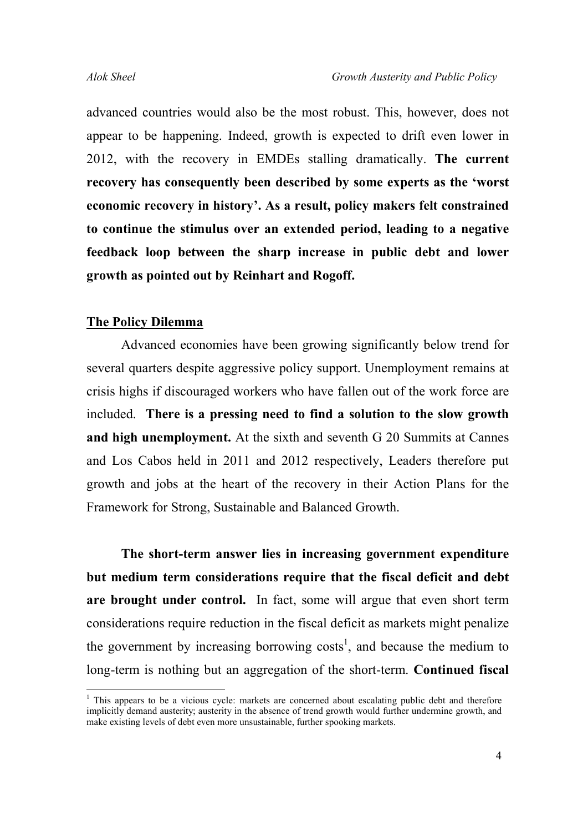advanced countries would also be the most robust. This, however, does not appear to be happening. Indeed, growth is expected to drift even lower in 2012, with the recovery in EMDEs stalling dramatically. **The current recovery has consequently been described by some experts as the 'worst economic recovery in history'. As a result, policy makers felt constrained to continue the stimulus over an extended period, leading to a negative feedback loop between the sharp increase in public debt and lower growth as pointed out by Reinhart and Rogoff.** 

#### **The Policy Dilemma**

Advanced economies have been growing significantly below trend for several quarters despite aggressive policy support. Unemployment remains at crisis highs if discouraged workers who have fallen out of the work force are included. **There is a pressing need to find a solution to the slow growth and high unemployment.** At the sixth and seventh G 20 Summits at Cannes and Los Cabos held in 2011 and 2012 respectively, Leaders therefore put growth and jobs at the heart of the recovery in their Action Plans for the Framework for Strong, Sustainable and Balanced Growth.

**The short-term answer lies in increasing government expenditure but medium term considerations require that the fiscal deficit and debt are brought under control.** In fact, some will argue that even short term considerations require reduction in the fiscal deficit as markets might penalize the government by increasing borrowing costs<sup>1</sup>, and because the medium to long-term is nothing but an aggregation of the short-term. **Continued fiscal** 

<sup>&</sup>lt;sup>1</sup> This appears to be a vicious cycle: markets are concerned about escalating public debt and therefore implicitly demand austerity; austerity in the absence of trend growth would further undermine growth, and make existing levels of debt even more unsustainable, further spooking markets.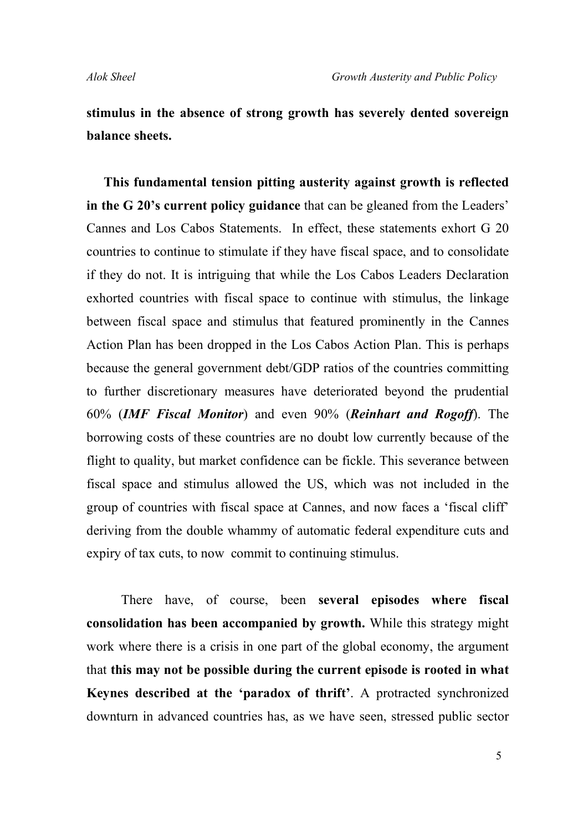**stimulus in the absence of strong growth has severely dented sovereign balance sheets.**

**This fundamental tension pitting austerity against growth is reflected in the G 20's current policy guidance** that can be gleaned from the Leaders' Cannes and Los Cabos Statements. In effect, these statements exhort G 20 countries to continue to stimulate if they have fiscal space, and to consolidate if they do not. It is intriguing that while the Los Cabos Leaders Declaration exhorted countries with fiscal space to continue with stimulus, the linkage between fiscal space and stimulus that featured prominently in the Cannes Action Plan has been dropped in the Los Cabos Action Plan. This is perhaps because the general government debt/GDP ratios of the countries committing to further discretionary measures have deteriorated beyond the prudential 60% (*IMF Fiscal Monitor*) and even 90% (*Reinhart and Rogoff*). The borrowing costs of these countries are no doubt low currently because of the flight to quality, but market confidence can be fickle. This severance between fiscal space and stimulus allowed the US, which was not included in the group of countries with fiscal space at Cannes, and now faces a 'fiscal cliff' deriving from the double whammy of automatic federal expenditure cuts and expiry of tax cuts, to now commit to continuing stimulus.

There have, of course, been **several episodes where fiscal consolidation has been accompanied by growth.** While this strategy might work where there is a crisis in one part of the global economy, the argument that **this may not be possible during the current episode is rooted in what Keynes described at the 'paradox of thrift'**. A protracted synchronized downturn in advanced countries has, as we have seen, stressed public sector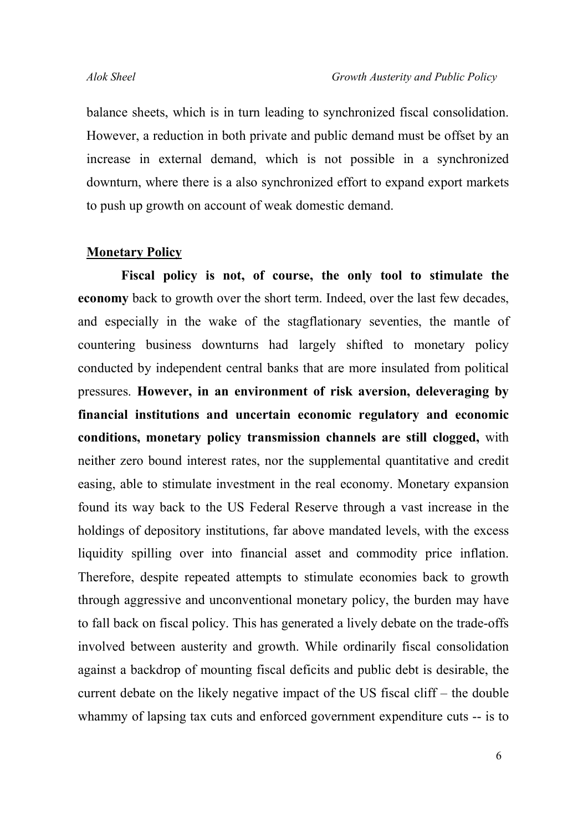balance sheets, which is in turn leading to synchronized fiscal consolidation. However, a reduction in both private and public demand must be offset by an increase in external demand, which is not possible in a synchronized downturn, where there is a also synchronized effort to expand export markets to push up growth on account of weak domestic demand.

#### **Monetary Policy**

**Fiscal policy is not, of course, the only tool to stimulate the economy** back to growth over the short term. Indeed, over the last few decades, and especially in the wake of the stagflationary seventies, the mantle of countering business downturns had largely shifted to monetary policy conducted by independent central banks that are more insulated from political pressures. **However, in an environment of risk aversion, deleveraging by financial institutions and uncertain economic regulatory and economic conditions, monetary policy transmission channels are still clogged,** with neither zero bound interest rates, nor the supplemental quantitative and credit easing, able to stimulate investment in the real economy. Monetary expansion found its way back to the US Federal Reserve through a vast increase in the holdings of depository institutions, far above mandated levels, with the excess liquidity spilling over into financial asset and commodity price inflation. Therefore, despite repeated attempts to stimulate economies back to growth through aggressive and unconventional monetary policy, the burden may have to fall back on fiscal policy. This has generated a lively debate on the trade-offs involved between austerity and growth. While ordinarily fiscal consolidation against a backdrop of mounting fiscal deficits and public debt is desirable, the current debate on the likely negative impact of the US fiscal cliff – the double whammy of lapsing tax cuts and enforced government expenditure cuts -- is to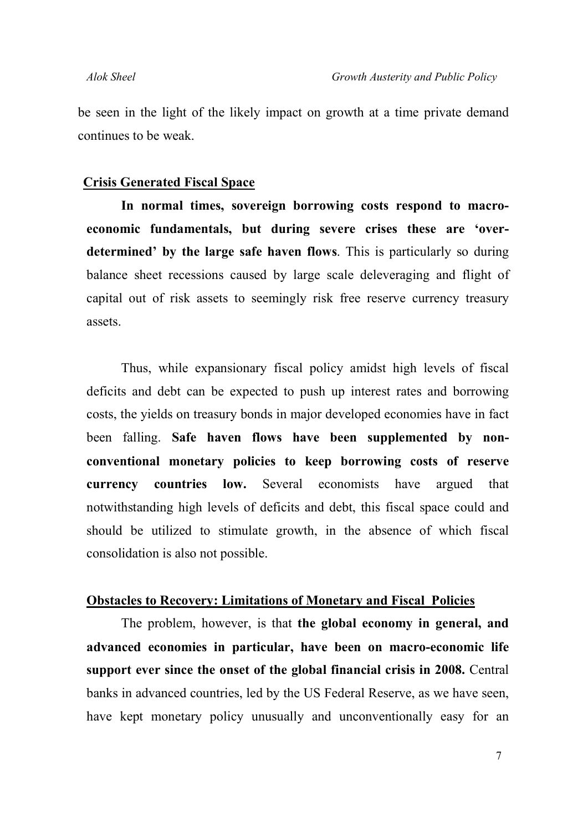be seen in the light of the likely impact on growth at a time private demand continues to be weak.

#### **Crisis Generated Fiscal Space**

**In normal times, sovereign borrowing costs respond to macroeconomic fundamentals, but during severe crises these are 'overdetermined' by the large safe haven flows**. This is particularly so during balance sheet recessions caused by large scale deleveraging and flight of capital out of risk assets to seemingly risk free reserve currency treasury assets.

Thus, while expansionary fiscal policy amidst high levels of fiscal deficits and debt can be expected to push up interest rates and borrowing costs, the yields on treasury bonds in major developed economies have in fact been falling. **Safe haven flows have been supplemented by nonconventional monetary policies to keep borrowing costs of reserve currency countries low.** Several economists have argued that notwithstanding high levels of deficits and debt, this fiscal space could and should be utilized to stimulate growth, in the absence of which fiscal consolidation is also not possible.

#### **Obstacles to Recovery: Limitations of Monetary and Fiscal Policies**

The problem, however, is that **the global economy in general, and advanced economies in particular, have been on macro-economic life support ever since the onset of the global financial crisis in 2008.** Central banks in advanced countries, led by the US Federal Reserve, as we have seen, have kept monetary policy unusually and unconventionally easy for an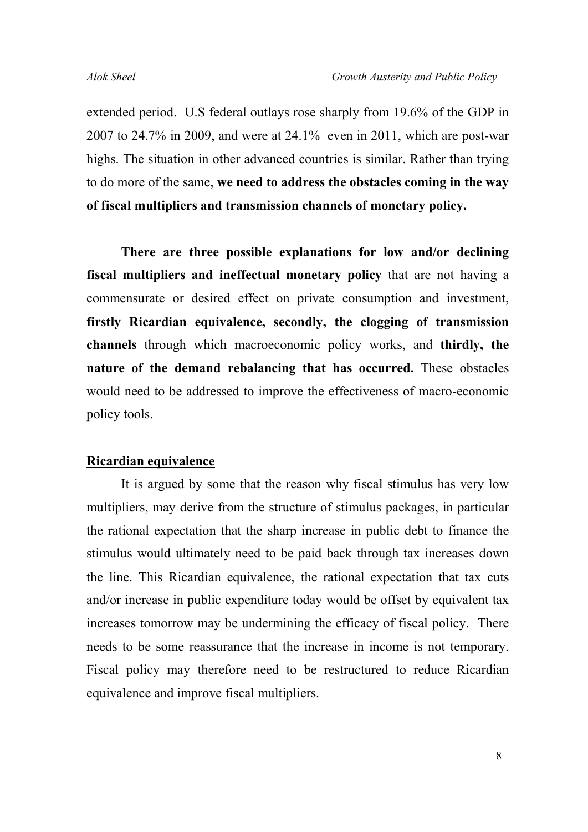extended period. U.S federal outlays rose sharply from 19.6% of the GDP in 2007 to 24.7% in 2009, and were at 24.1% even in 2011, which are post-war highs. The situation in other advanced countries is similar. Rather than trying to do more of the same, **we need to address the obstacles coming in the way of fiscal multipliers and transmission channels of monetary policy.** 

**There are three possible explanations for low and/or declining fiscal multipliers and ineffectual monetary policy** that are not having a commensurate or desired effect on private consumption and investment, **firstly Ricardian equivalence, secondly, the clogging of transmission channels** through which macroeconomic policy works, and **thirdly, the nature of the demand rebalancing that has occurred.** These obstacles would need to be addressed to improve the effectiveness of macro-economic policy tools.

#### **Ricardian equivalence**

It is argued by some that the reason why fiscal stimulus has very low multipliers, may derive from the structure of stimulus packages, in particular the rational expectation that the sharp increase in public debt to finance the stimulus would ultimately need to be paid back through tax increases down the line. This Ricardian equivalence, the rational expectation that tax cuts and/or increase in public expenditure today would be offset by equivalent tax increases tomorrow may be undermining the efficacy of fiscal policy. There needs to be some reassurance that the increase in income is not temporary. Fiscal policy may therefore need to be restructured to reduce Ricardian equivalence and improve fiscal multipliers.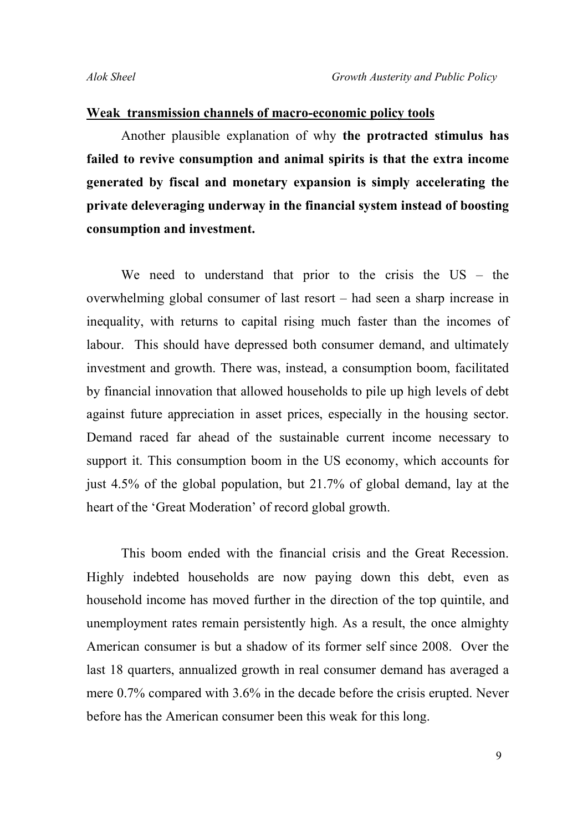#### **Weak transmission channels of macro-economic policy tools**

Another plausible explanation of why **the protracted stimulus has failed to revive consumption and animal spirits is that the extra income generated by fiscal and monetary expansion is simply accelerating the private deleveraging underway in the financial system instead of boosting consumption and investment.**

We need to understand that prior to the crisis the US – the overwhelming global consumer of last resort – had seen a sharp increase in inequality, with returns to capital rising much faster than the incomes of labour. This should have depressed both consumer demand, and ultimately investment and growth. There was, instead, a consumption boom, facilitated by financial innovation that allowed households to pile up high levels of debt against future appreciation in asset prices, especially in the housing sector. Demand raced far ahead of the sustainable current income necessary to support it. This consumption boom in the US economy, which accounts for just 4.5% of the global population, but 21.7% of global demand, lay at the heart of the 'Great Moderation' of record global growth.

This boom ended with the financial crisis and the Great Recession. Highly indebted households are now paying down this debt, even as household income has moved further in the direction of the top quintile, and unemployment rates remain persistently high. As a result, the once almighty American consumer is but a shadow of its former self since 2008. Over the last 18 quarters, annualized growth in real consumer demand has averaged a mere 0.7% compared with 3.6% in the decade before the crisis erupted. Never before has the American consumer been this weak for this long.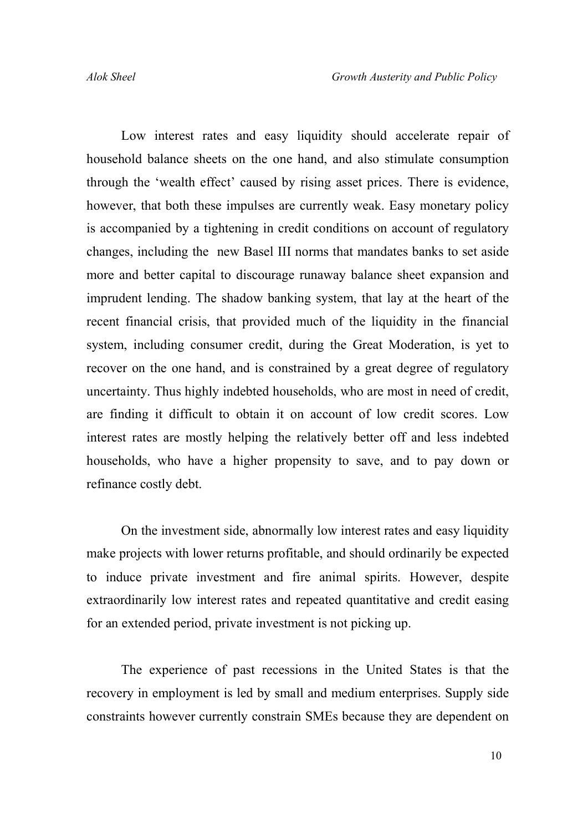Low interest rates and easy liquidity should accelerate repair of household balance sheets on the one hand, and also stimulate consumption through the 'wealth effect' caused by rising asset prices. There is evidence, however, that both these impulses are currently weak. Easy monetary policy is accompanied by a tightening in credit conditions on account of regulatory changes, including the new Basel III norms that mandates banks to set aside more and better capital to discourage runaway balance sheet expansion and imprudent lending. The shadow banking system, that lay at the heart of the recent financial crisis, that provided much of the liquidity in the financial system, including consumer credit, during the Great Moderation, is yet to recover on the one hand, and is constrained by a great degree of regulatory uncertainty. Thus highly indebted households, who are most in need of credit, are finding it difficult to obtain it on account of low credit scores. Low interest rates are mostly helping the relatively better off and less indebted households, who have a higher propensity to save, and to pay down or refinance costly debt.

On the investment side, abnormally low interest rates and easy liquidity make projects with lower returns profitable, and should ordinarily be expected to induce private investment and fire animal spirits. However, despite extraordinarily low interest rates and repeated quantitative and credit easing for an extended period, private investment is not picking up.

The experience of past recessions in the United States is that the recovery in employment is led by small and medium enterprises. Supply side constraints however currently constrain SMEs because they are dependent on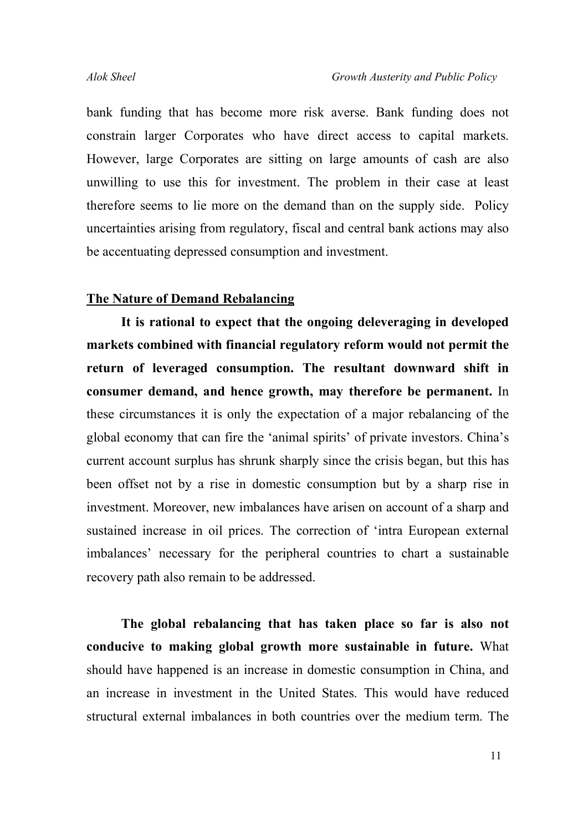bank funding that has become more risk averse. Bank funding does not constrain larger Corporates who have direct access to capital markets. However, large Corporates are sitting on large amounts of cash are also unwilling to use this for investment. The problem in their case at least therefore seems to lie more on the demand than on the supply side. Policy uncertainties arising from regulatory, fiscal and central bank actions may also be accentuating depressed consumption and investment.

### **The Nature of Demand Rebalancing**

**It is rational to expect that the ongoing deleveraging in developed markets combined with financial regulatory reform would not permit the return of leveraged consumption. The resultant downward shift in consumer demand, and hence growth, may therefore be permanent.** In these circumstances it is only the expectation of a major rebalancing of the global economy that can fire the 'animal spirits' of private investors. China's current account surplus has shrunk sharply since the crisis began, but this has been offset not by a rise in domestic consumption but by a sharp rise in investment. Moreover, new imbalances have arisen on account of a sharp and sustained increase in oil prices. The correction of 'intra European external imbalances' necessary for the peripheral countries to chart a sustainable recovery path also remain to be addressed.

**The global rebalancing that has taken place so far is also not conducive to making global growth more sustainable in future.** What should have happened is an increase in domestic consumption in China, and an increase in investment in the United States. This would have reduced structural external imbalances in both countries over the medium term. The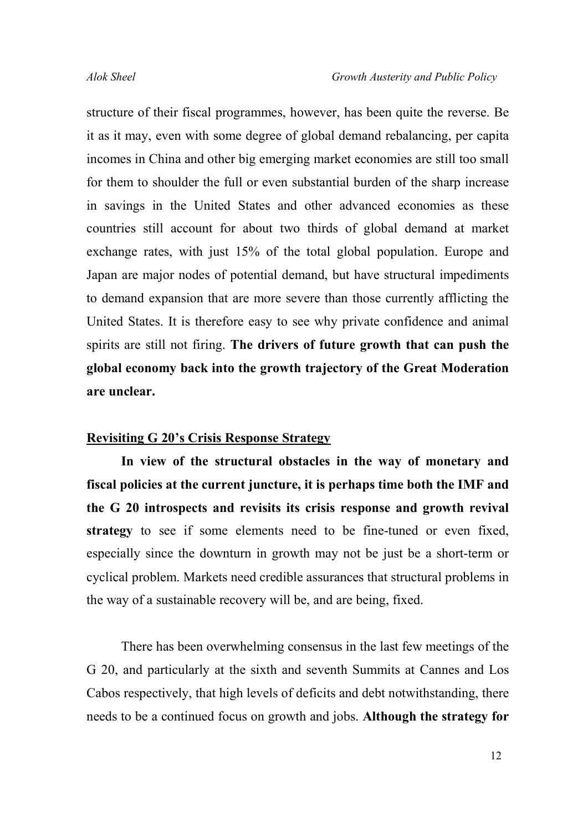structure of their fiscal programmes, however, has been quite the reverse. Be it as it may, even with some degree of global demand rebalancing, per capita incomes in China and other big emerging market economies are still too small for them to shoulder the full or even substantial burden of the sharp increase in savings in the United States and other advanced economies as these countries still account for about two thirds of global demand at market exchange rates, with just 15% of the total global population. Europe and Japan are major nodes of potential demand, but have structural impediments to demand expansion that are more severe than those currently afflicting the United States. It is therefore easy to see why private confidence and animal spirits are still not firing. **The drivers of future growth that can push the global economy back into the growth trajectory of the Great Moderation are unclear.** 

#### **Revisiting G 20's Crisis Response Strategy**

**In view of the structural obstacles in the way of monetary and fiscal policies at the current juncture, it is perhaps time both the IMF and the G 20 introspects and revisits its crisis response and growth revival strategy** to see if some elements need to be fine-tuned or even fixed, especially since the downturn in growth may not be just be a short-term or cyclical problem. Markets need credible assurances that structural problems in the way of a sustainable recovery will be, and are being, fixed.

There has been overwhelming consensus in the last few meetings of the G 20, and particularly at the sixth and seventh Summits at Cannes and Los Cabos respectively, that high levels of deficits and debt notwithstanding, there needs to be a continued focus on growth and jobs. **Although the strategy for**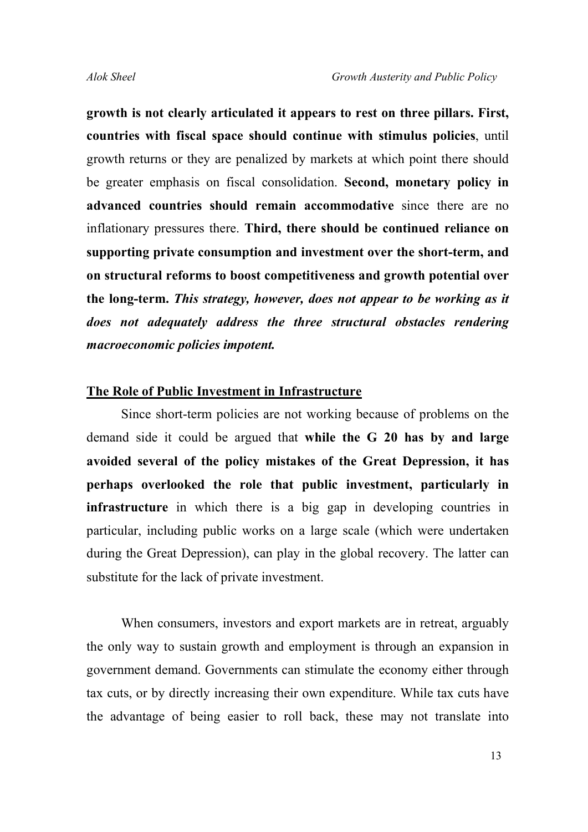**growth is not clearly articulated it appears to rest on three pillars. First, countries with fiscal space should continue with stimulus policies**, until growth returns or they are penalized by markets at which point there should be greater emphasis on fiscal consolidation. **Second, monetary policy in advanced countries should remain accommodative** since there are no inflationary pressures there. **Third, there should be continued reliance on supporting private consumption and investment over the short-term, and on structural reforms to boost competitiveness and growth potential over the long-term.** *This strategy, however, does not appear to be working as it does not adequately address the three structural obstacles rendering macroeconomic policies impotent.*

#### **The Role of Public Investment in Infrastructure**

Since short-term policies are not working because of problems on the demand side it could be argued that **while the G 20 has by and large avoided several of the policy mistakes of the Great Depression, it has perhaps overlooked the role that public investment, particularly in infrastructure** in which there is a big gap in developing countries in particular, including public works on a large scale (which were undertaken during the Great Depression), can play in the global recovery. The latter can substitute for the lack of private investment.

When consumers, investors and export markets are in retreat, arguably the only way to sustain growth and employment is through an expansion in government demand. Governments can stimulate the economy either through tax cuts, or by directly increasing their own expenditure. While tax cuts have the advantage of being easier to roll back, these may not translate into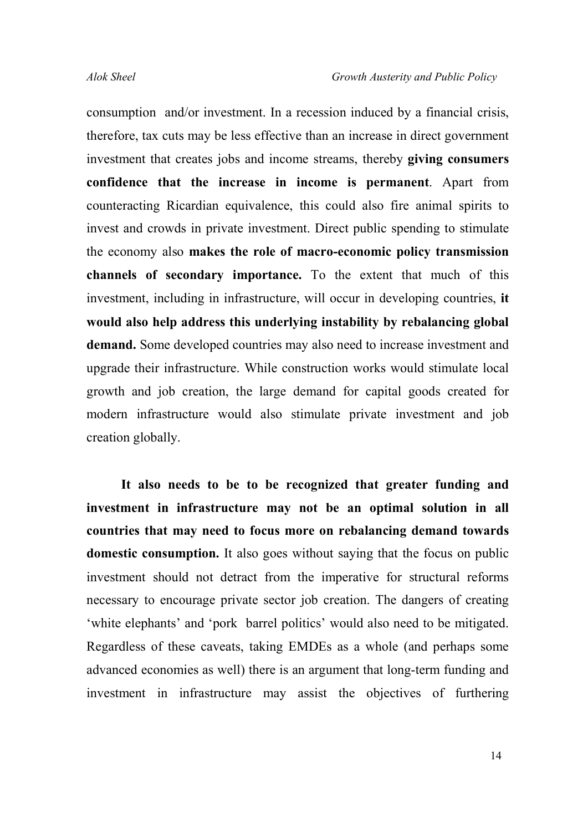consumption and/or investment. In a recession induced by a financial crisis, therefore, tax cuts may be less effective than an increase in direct government investment that creates jobs and income streams, thereby **giving consumers confidence that the increase in income is permanent**. Apart from counteracting Ricardian equivalence, this could also fire animal spirits to invest and crowds in private investment. Direct public spending to stimulate the economy also **makes the role of macro-economic policy transmission channels of secondary importance.** To the extent that much of this investment, including in infrastructure, will occur in developing countries, **it would also help address this underlying instability by rebalancing global demand.** Some developed countries may also need to increase investment and upgrade their infrastructure. While construction works would stimulate local growth and job creation, the large demand for capital goods created for modern infrastructure would also stimulate private investment and job creation globally.

**It also needs to be to be recognized that greater funding and investment in infrastructure may not be an optimal solution in all countries that may need to focus more on rebalancing demand towards domestic consumption.** It also goes without saying that the focus on public investment should not detract from the imperative for structural reforms necessary to encourage private sector job creation. The dangers of creating 'white elephants' and 'pork barrel politics' would also need to be mitigated. Regardless of these caveats, taking EMDEs as a whole (and perhaps some advanced economies as well) there is an argument that long-term funding and investment in infrastructure may assist the objectives of furthering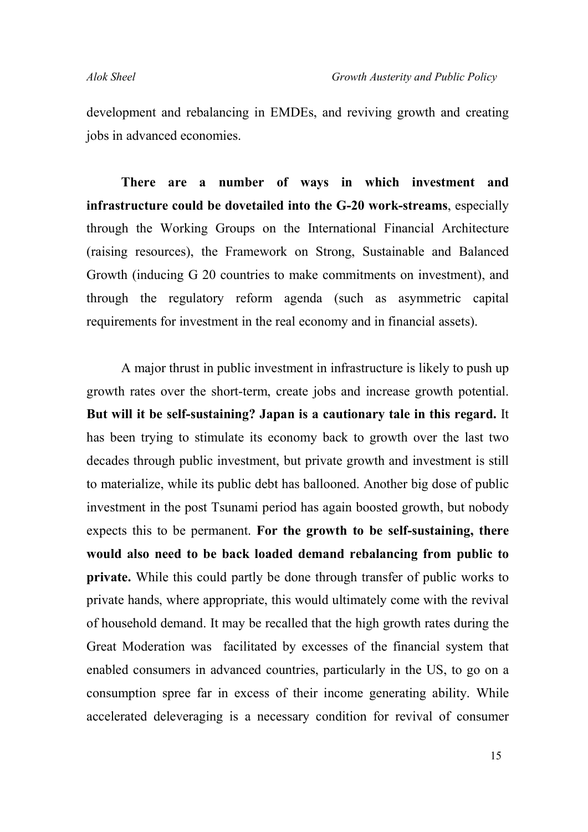development and rebalancing in EMDEs, and reviving growth and creating jobs in advanced economies.

**There are a number of ways in which investment and infrastructure could be dovetailed into the G-20 work-streams**, especially through the Working Groups on the International Financial Architecture (raising resources), the Framework on Strong, Sustainable and Balanced Growth (inducing G 20 countries to make commitments on investment), and through the regulatory reform agenda (such as asymmetric capital requirements for investment in the real economy and in financial assets).

A major thrust in public investment in infrastructure is likely to push up growth rates over the short-term, create jobs and increase growth potential. **But will it be self-sustaining? Japan is a cautionary tale in this regard.** It has been trying to stimulate its economy back to growth over the last two decades through public investment, but private growth and investment is still to materialize, while its public debt has ballooned. Another big dose of public investment in the post Tsunami period has again boosted growth, but nobody expects this to be permanent. **For the growth to be self-sustaining, there would also need to be back loaded demand rebalancing from public to private.** While this could partly be done through transfer of public works to private hands, where appropriate, this would ultimately come with the revival of household demand. It may be recalled that the high growth rates during the Great Moderation was facilitated by excesses of the financial system that enabled consumers in advanced countries, particularly in the US, to go on a consumption spree far in excess of their income generating ability. While accelerated deleveraging is a necessary condition for revival of consumer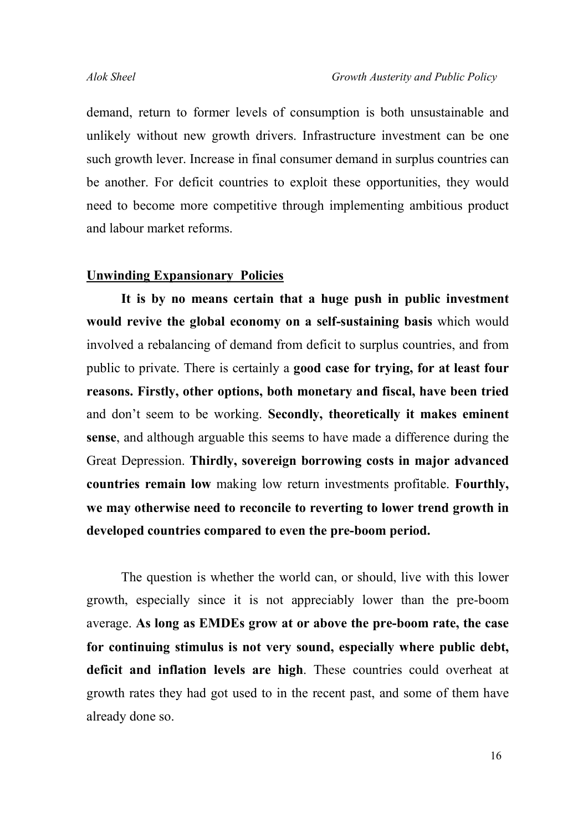demand, return to former levels of consumption is both unsustainable and unlikely without new growth drivers. Infrastructure investment can be one such growth lever. Increase in final consumer demand in surplus countries can be another. For deficit countries to exploit these opportunities, they would need to become more competitive through implementing ambitious product and labour market reforms.

#### **Unwinding Expansionary Policies**

**It is by no means certain that a huge push in public investment would revive the global economy on a self-sustaining basis** which would involved a rebalancing of demand from deficit to surplus countries, and from public to private. There is certainly a **good case for trying, for at least four reasons. Firstly, other options, both monetary and fiscal, have been tried** and don't seem to be working. **Secondly, theoretically it makes eminent sense**, and although arguable this seems to have made a difference during the Great Depression. **Thirdly, sovereign borrowing costs in major advanced countries remain low** making low return investments profitable. **Fourthly, we may otherwise need to reconcile to reverting to lower trend growth in developed countries compared to even the pre-boom period.** 

The question is whether the world can, or should, live with this lower growth, especially since it is not appreciably lower than the pre-boom average. **As long as EMDEs grow at or above the pre-boom rate, the case for continuing stimulus is not very sound, especially where public debt, deficit and inflation levels are high**. These countries could overheat at growth rates they had got used to in the recent past, and some of them have already done so.